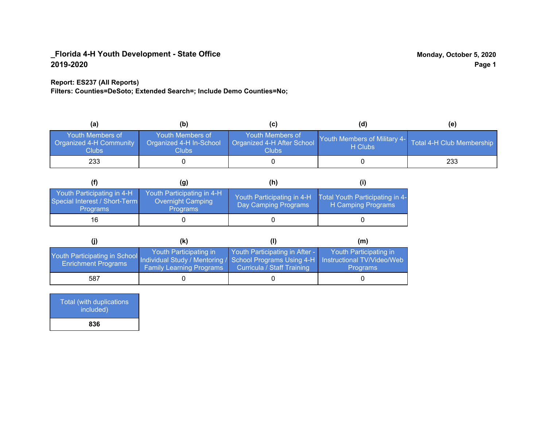### **Report: ES237 (All Reports)**

**Filters: Counties=DeSoto; Extended Search=; Include Demo Counties=No;**

| (a)                                                         | (b)                                                  |                                                         | (d)                                     | (e)                       |
|-------------------------------------------------------------|------------------------------------------------------|---------------------------------------------------------|-----------------------------------------|---------------------------|
| Youth Members of<br><b>Organized 4-H Community</b><br>Clubs | Youth Members of<br>Organized 4-H In-School<br>Clubs | Youth Members of<br>Organized 4-H After School<br>Clubs | Youth Members of Military 4-<br>H Clubs | Total 4-H Club Membership |
| 233                                                         |                                                      |                                                         |                                         | 233                       |

|                                                                                | (g)                                                                       | (h)                                                |                                                       |
|--------------------------------------------------------------------------------|---------------------------------------------------------------------------|----------------------------------------------------|-------------------------------------------------------|
| Youth Participating in 4-H<br>Special Interest / Short-Term<br><b>Programs</b> | Youth Participating in 4-H<br><b>Overnight Camping</b><br><b>Programs</b> | Youth Participating in 4-H<br>Day Camping Programs | Total Youth Participating in 4-<br>H Camping Programs |
| 16                                                                             |                                                                           |                                                    |                                                       |

|                                                                                                                                                 | (k)                                                       |                                                                     | (m)                                       |
|-------------------------------------------------------------------------------------------------------------------------------------------------|-----------------------------------------------------------|---------------------------------------------------------------------|-------------------------------------------|
| Youth Participating in School Individual Study / Mentoring / School Programs Using 4-H Instructional TV/Video/Web<br><b>Enrichment Programs</b> | Youth Participating in<br><b>Family Learning Programs</b> | Youth Participating in After -<br><b>Curricula / Staff Training</b> | Youth Participating in<br><b>Programs</b> |
| 587                                                                                                                                             |                                                           |                                                                     |                                           |

| <b>Total (with duplications)</b><br>included) |
|-----------------------------------------------|
| 836                                           |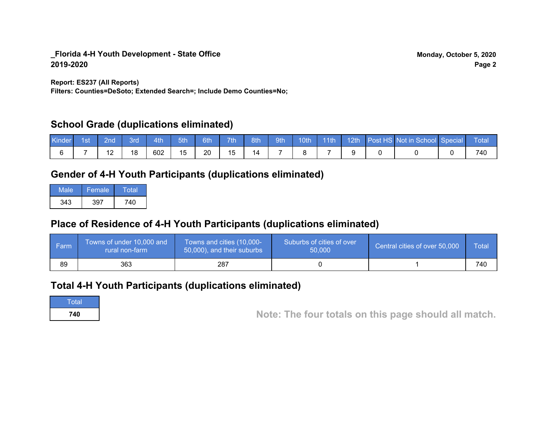**Report: ES237 (All Reports)**

**Filters: Counties=DeSoto; Extended Search=; Include Demo Counties=No;**

# **School Grade (duplications eliminated)**

| Kinde | 1st\ | 2nd' | вrо | 4th | 5th | 6th | 7th | 8th | 9th | 10th | $\sqrt{11}$ | 12th | Post HS Not in School Special | Total |
|-------|------|------|-----|-----|-----|-----|-----|-----|-----|------|-------------|------|-------------------------------|-------|
|       |      |      | 18  | 602 | 15  | 20  | 15  |     |     |      |             |      |                               | 740   |

# **Gender of 4-H Youth Participants (duplications eliminated)**

| Male | Female | Total |
|------|--------|-------|
| 343  | 397    | 740   |

# **Place of Residence of 4-H Youth Participants (duplications eliminated)**

| l Farm | Towns of under 10,000 and<br>rural non-farm | Towns and cities (10,000-<br>50,000), and their suburbs | Suburbs of cities of over<br>50,000 | Central cities of over 50,000 | Total |
|--------|---------------------------------------------|---------------------------------------------------------|-------------------------------------|-------------------------------|-------|
| 89     | 363                                         | 287                                                     |                                     |                               | 740   |

# **Total 4-H Youth Participants (duplications eliminated)**

**Total** 

**<sup>740</sup> Note: The four totals on this page should all match.**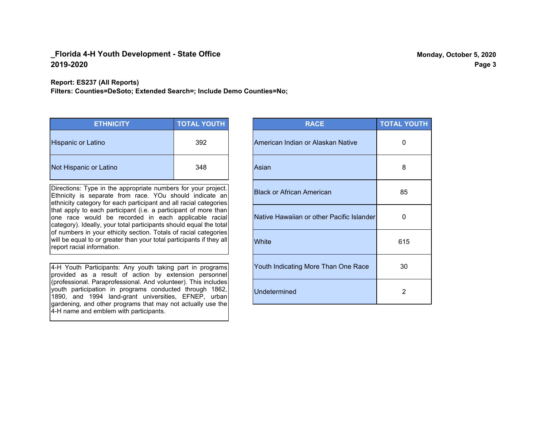**Report: ES237 (All Reports)**

**Filters: Counties=DeSoto; Extended Search=; Include Demo Counties=No;**

| <b>ETHNICITY</b>       | <b>TOTAL YOUTH</b> |
|------------------------|--------------------|
| Hispanic or Latino     | 392                |
| Not Hispanic or Latino | 348                |

Directions: Type in the appropriate numbers for your project. Ethnicity is separate from race. YOu should indicate an ethnicity category for each participant and all racial categories that apply to each participant (i.e. a participant of more than one race would be recorded in each applicable racial category). Ideally, your total participants should equal the total of numbers in your ethicity section. Totals of racial categories will be equal to or greater than your total participants if they all report racial information.

4-H Youth Participants: Any youth taking part in programs provided as a result of action by extension personnel (professional. Paraprofessional. And volunteer). This includes youth participation in programs conducted through 1862, 1890, and 1994 land-grant universities, EFNEP, urban gardening, and other programs that may not actually use the 4-H name and emblem with participants.

| <b>RACE</b>                               | <b>TOTAL YOUTH</b> |
|-------------------------------------------|--------------------|
| American Indian or Alaskan Native         | O                  |
| Asian                                     | 8                  |
| <b>Black or African American</b>          | 85                 |
| Native Hawaiian or other Pacific Islander | 0                  |
| White                                     | 615                |
| Youth Indicating More Than One Race       | 30                 |
| <b>Undetermined</b>                       | 2                  |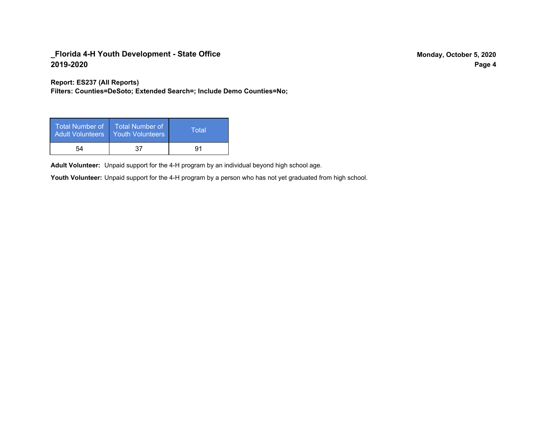**Report: ES237 (All Reports)**

**Filters: Counties=DeSoto; Extended Search=; Include Demo Counties=No;**

| Total Number of<br><b>Adult Volunteers</b> | <b>Total Number of</b><br><b>Youth Volunteers</b> | Total |
|--------------------------------------------|---------------------------------------------------|-------|
| 54                                         | 37                                                | 91    |

Adult Volunteer: Unpaid support for the 4-H program by an individual beyond high school age.

Youth Volunteer: Unpaid support for the 4-H program by a person who has not yet graduated from high school.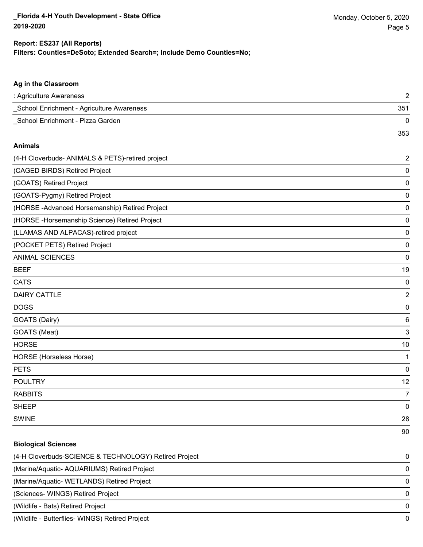353

## **Filters: Counties=DeSoto; Extended Search=; Include Demo Counties=No; Report: ES237 (All Reports)**

## **Ag in the Classroom**

| : Agriculture Awareness                   |     |
|-------------------------------------------|-----|
| School Enrichment - Agriculture Awareness | 351 |
| School Enrichment - Pizza Garden          |     |

#### **Animals**

| (4-H Cloverbuds- ANIMALS & PETS)-retired project | $\overline{2}$ |
|--------------------------------------------------|----------------|
| (CAGED BIRDS) Retired Project                    | 0              |
| (GOATS) Retired Project                          | 0              |
| (GOATS-Pygmy) Retired Project                    | 0              |
| (HORSE-Advanced Horsemanship) Retired Project    | 0              |
| (HORSE-Horsemanship Science) Retired Project     | 0              |
| (LLAMAS AND ALPACAS)-retired project             | 0              |
| (POCKET PETS) Retired Project                    | 0              |
| <b>ANIMAL SCIENCES</b>                           | 0              |
| <b>BEEF</b>                                      | 19             |
| <b>CATS</b>                                      | 0              |
| <b>DAIRY CATTLE</b>                              | $\overline{2}$ |
| <b>DOGS</b>                                      | 0              |
| GOATS (Dairy)                                    | 6              |
| GOATS (Meat)                                     | 3              |
| <b>HORSE</b>                                     | 10             |
| <b>HORSE</b> (Horseless Horse)                   | 1              |
| <b>PETS</b>                                      | 0              |
| <b>POULTRY</b>                                   | 12             |
| <b>RABBITS</b>                                   | 7              |
| <b>SHEEP</b>                                     | 0              |
| <b>SWINE</b>                                     | 28             |
|                                                  | 90             |

## **Biological Sciences**

| (4-H Cloverbuds-SCIENCE & TECHNOLOGY) Retired Project | $\Omega$ |
|-------------------------------------------------------|----------|
| (Marine/Aquatic-AQUARIUMS) Retired Project            | $\Omega$ |
| (Marine/Aquatic-WETLANDS) Retired Project             | $\Omega$ |
| (Sciences-WINGS) Retired Project                      | $\Omega$ |
| (Wildlife - Bats) Retired Project                     | $\Omega$ |
| (Wildlife - Butterflies- WINGS) Retired Project       | $\Omega$ |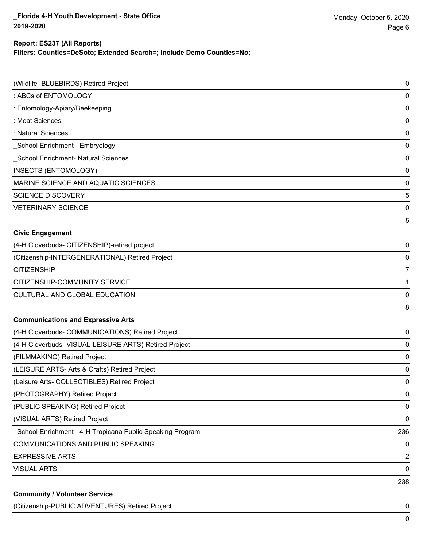### **Filters: Counties=DeSoto; Extended Search=; Include Demo Counties=No; Report: ES237 (All Reports)**

| (Wildlife- BLUEBIRDS) Retired Project                      | 0   |
|------------------------------------------------------------|-----|
| : ABCs of ENTOMOLOGY                                       | 0   |
| : Entomology-Apiary/Beekeeping                             | 0   |
| : Meat Sciences                                            | 0   |
| : Natural Sciences                                         | 0   |
| _School Enrichment - Embryology                            | 0   |
| School Enrichment- Natural Sciences                        | 0   |
| <b>INSECTS (ENTOMOLOGY)</b>                                | 0   |
| MARINE SCIENCE AND AQUATIC SCIENCES                        | 0   |
| <b>SCIENCE DISCOVERY</b>                                   | 5   |
| <b>VETERINARY SCIENCE</b>                                  | 0   |
|                                                            | 5   |
| <b>Civic Engagement</b>                                    |     |
| (4-H Cloverbuds- CITIZENSHIP)-retired project              | 0   |
| (Citizenship-INTERGENERATIONAL) Retired Project            | 0   |
| <b>CITIZENSHIP</b>                                         | 7   |
| CITIZENSHIP-COMMUNITY SERVICE                              | 1   |
| CULTURAL AND GLOBAL EDUCATION                              | 0   |
|                                                            | 8   |
| <b>Communications and Expressive Arts</b>                  |     |
| (4-H Cloverbuds- COMMUNICATIONS) Retired Project           | 0   |
| (4-H Cloverbuds- VISUAL-LEISURE ARTS) Retired Project      | 0   |
| (FILMMAKING) Retired Project                               | 0   |
| (LEISURE ARTS- Arts & Crafts) Retired Project              | 0   |
| (Leisure Arts- COLLECTIBLES) Retired Project               | 0   |
| (PHOTOGRAPHY) Retired Project                              | 0   |
| (PUBLIC SPEAKING) Retired Project                          | 0   |
| (VISUAL ARTS) Retired Project                              | 0   |
| _School Enrichment - 4-H Tropicana Public Speaking Program | 236 |
| COMMUNICATIONS AND PUBLIC SPEAKING                         | 0   |
| <b>EXPRESSIVE ARTS</b>                                     | 2   |
| <b>VISUAL ARTS</b>                                         | 0   |
|                                                            | 238 |
| <b>Community / Volunteer Service</b>                       |     |

(Citizenship-PUBLIC ADVENTURES) Retired Project 0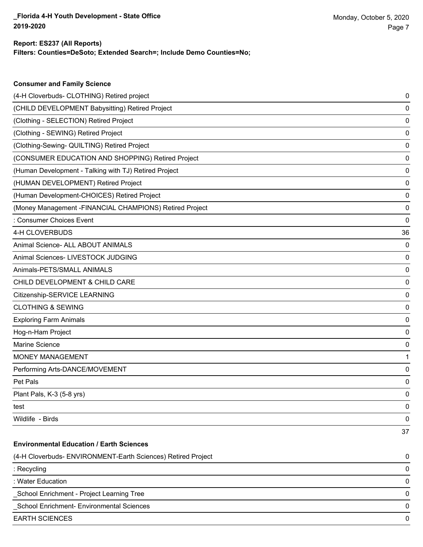**Consumer and Family Science**

### **Filters: Counties=DeSoto; Extended Search=; Include Demo Counties=No; Report: ES237 (All Reports)**

| (4-H Cloverbuds- CLOTHING) Retired project                   | 0  |
|--------------------------------------------------------------|----|
| (CHILD DEVELOPMENT Babysitting) Retired Project              | 0  |
| (Clothing - SELECTION) Retired Project                       | 0  |
| (Clothing - SEWING) Retired Project                          | 0  |
| (Clothing-Sewing- QUILTING) Retired Project                  | 0  |
| (CONSUMER EDUCATION AND SHOPPING) Retired Project            | 0  |
| (Human Development - Talking with TJ) Retired Project        | 0  |
| (HUMAN DEVELOPMENT) Retired Project                          | 0  |
| (Human Development-CHOICES) Retired Project                  | 0  |
| (Money Management -FINANCIAL CHAMPIONS) Retired Project      | 0  |
| : Consumer Choices Event                                     | 0  |
| 4-H CLOVERBUDS                                               | 36 |
| Animal Science- ALL ABOUT ANIMALS                            | 0  |
| Animal Sciences- LIVESTOCK JUDGING                           | 0  |
| Animals-PETS/SMALL ANIMALS                                   | 0  |
| CHILD DEVELOPMENT & CHILD CARE                               | 0  |
| Citizenship-SERVICE LEARNING                                 | 0  |
| <b>CLOTHING &amp; SEWING</b>                                 | 0  |
| <b>Exploring Farm Animals</b>                                | 0  |
| Hog-n-Ham Project                                            | 0  |
| Marine Science                                               | 0  |
| MONEY MANAGEMENT                                             | 1  |
| Performing Arts-DANCE/MOVEMENT                               | 0  |
| Pet Pals                                                     | 0  |
| Plant Pals, K-3 (5-8 yrs)                                    | 0  |
| test                                                         | 0  |
| Wildlife - Birds                                             | 0  |
|                                                              | 37 |
| <b>Environmental Education / Earth Sciences</b>              |    |
| (4-H Cloverbuds- ENVIRONMENT-Earth Sciences) Retired Project | 0  |
| : Recycling                                                  | 0  |
| : Water Education                                            | 0  |
| School Enrichment - Project Learning Tree                    | 0  |
| School Enrichment- Environmental Sciences                    | 0  |
| <b>EARTH SCIENCES</b>                                        | 0  |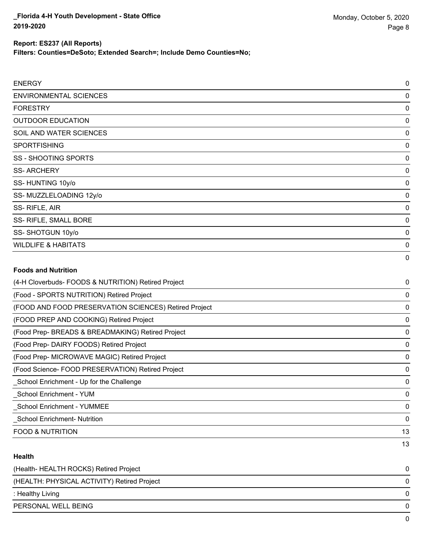| Report: ES237 (All Reports)<br>Filters: Counties=DeSoto; Extended Search=; Include Demo Counties=No; |  |
|------------------------------------------------------------------------------------------------------|--|
| ENERGY                                                                                               |  |

| <b>ENVIRONMENTAL SCIENCES</b>  | $\mathbf 0$ |
|--------------------------------|-------------|
| <b>FORESTRY</b>                | 0           |
| <b>OUTDOOR EDUCATION</b>       | 0           |
| SOIL AND WATER SCIENCES        | 0           |
| <b>SPORTFISHING</b>            | 0           |
| SS - SHOOTING SPORTS           | 0           |
| <b>SS-ARCHERY</b>              | 0           |
| SS-HUNTING 10y/o               | 0           |
| SS-MUZZLELOADING 12y/o         | $\mathbf 0$ |
| SS-RIFLE, AIR                  | 0           |
| SS- RIFLE, SMALL BORE          | $\mathbf 0$ |
| SS-SHOTGUN 10y/o               | 0           |
| <b>WILDLIFE &amp; HABITATS</b> | 0           |
|                                | $\mathbf 0$ |

### **Foods and Nutrition**

| (4-H Cloverbuds- FOODS & NUTRITION) Retired Project   | 0  |
|-------------------------------------------------------|----|
| (Food - SPORTS NUTRITION) Retired Project             | 0  |
| (FOOD AND FOOD PRESERVATION SCIENCES) Retired Project | 0  |
| (FOOD PREP AND COOKING) Retired Project               | 0  |
| (Food Prep- BREADS & BREADMAKING) Retired Project     | 0  |
| (Food Prep- DAIRY FOODS) Retired Project              | 0  |
| (Food Prep- MICROWAVE MAGIC) Retired Project          | 0  |
| (Food Science-FOOD PRESERVATION) Retired Project      | 0  |
| School Enrichment - Up for the Challenge              | 0  |
| School Enrichment - YUM                               | 0  |
| School Enrichment - YUMMEE                            | 0  |
| <b>School Enrichment-Nutrition</b>                    | 0  |
| <b>FOOD &amp; NUTRITION</b>                           | 13 |
|                                                       | 13 |

### **Health**

| (Health-HEALTH ROCKS) Retired Project       | 0        |
|---------------------------------------------|----------|
| (HEALTH: PHYSICAL ACTIVITY) Retired Project | 0        |
| : Healthy Living                            | $\Omega$ |
| PERSONAL WELL BEING                         | $\Omega$ |
|                                             | 0        |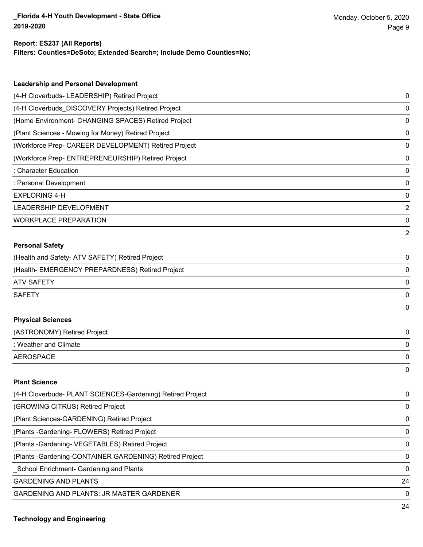## **Report: ES237 (All Reports)**

**Filters: Counties=DeSoto; Extended Search=; Include Demo Counties=No;**

| <b>Leadership and Personal Development</b>                 |                |
|------------------------------------------------------------|----------------|
| (4-H Cloverbuds- LEADERSHIP) Retired Project               | 0              |
| (4-H Cloverbuds_DISCOVERY Projects) Retired Project        | 0              |
| (Home Environment- CHANGING SPACES) Retired Project        | 0              |
| (Plant Sciences - Mowing for Money) Retired Project        | 0              |
| (Workforce Prep- CAREER DEVELOPMENT) Retired Project       | 0              |
| (Workforce Prep- ENTREPRENEURSHIP) Retired Project         | 0              |
| : Character Education                                      | 0              |
| : Personal Development                                     | 0              |
| <b>EXPLORING 4-H</b>                                       | 0              |
| <b>LEADERSHIP DEVELOPMENT</b>                              | $\overline{2}$ |
| <b>WORKPLACE PREPARATION</b>                               | 0              |
|                                                            | $\overline{2}$ |
| <b>Personal Safety</b>                                     |                |
| (Health and Safety- ATV SAFETY) Retired Project            | 0              |
| (Health- EMERGENCY PREPARDNESS) Retired Project            | 0              |
| <b>ATV SAFETY</b>                                          | 0              |
| <b>SAFETY</b>                                              | 0              |
|                                                            | 0              |
| <b>Physical Sciences</b>                                   |                |
| (ASTRONOMY) Retired Project                                | 0              |
| : Weather and Climate                                      | 0              |
| <b>AEROSPACE</b>                                           | 0              |
|                                                            | 0              |
| <b>Plant Science</b>                                       |                |
| (4-H Cloverbuds- PLANT SCIENCES-Gardening) Retired Project | 0              |
| (GROWING CITRUS) Retired Project                           | 0              |
| (Plant Sciences-GARDENING) Retired Project                 | 0              |
|                                                            |                |

(Plants -Gardening- FLOWERS) Retired Project 0

(Plants -Gardening- VEGETABLES) Retired Project 0

(Plants -Gardening-CONTAINER GARDENING) Retired Project 0

\_School Enrichment- Gardening and Plants 0

GARDENING AND PLANTS 24

GARDENING AND PLANTS: JR MASTER GARDENER 0